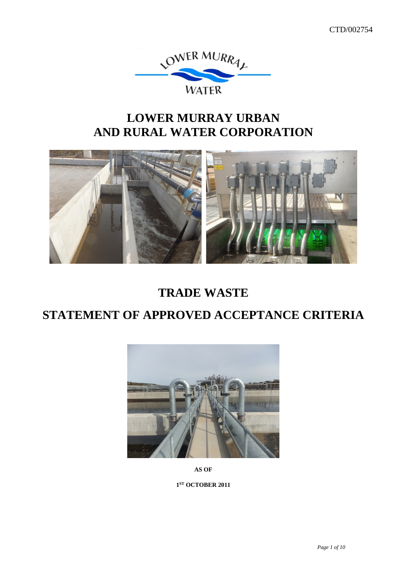

# **LOWER MURRAY URBAN AND RURAL WATER CORPORATION**



# **TRADE WASTE**

# **STATEMENT OF APPROVED ACCEPTANCE CRITERIA**



**AS OF**

**1ST OCTOBER 2011**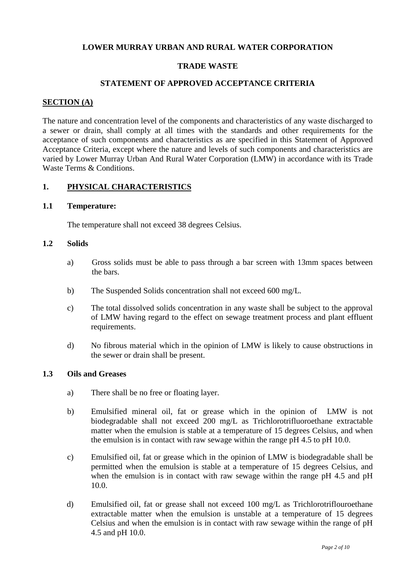#### **LOWER MURRAY URBAN AND RURAL WATER CORPORATION**

#### **TRADE WASTE**

### **STATEMENT OF APPROVED ACCEPTANCE CRITERIA**

#### **SECTION (A)**

The nature and concentration level of the components and characteristics of any waste discharged to a sewer or drain, shall comply at all times with the standards and other requirements for the acceptance of such components and characteristics as are specified in this Statement of Approved Acceptance Criteria, except where the nature and levels of such components and characteristics are varied by Lower Murray Urban And Rural Water Corporation (LMW) in accordance with its Trade Waste Terms & Conditions.

#### **1. PHYSICAL CHARACTERISTICS**

#### **1.1 Temperature:**

The temperature shall not exceed 38 degrees Celsius.

#### **1.2 Solids**

- a) Gross solids must be able to pass through a bar screen with 13mm spaces between the bars.
- b) The Suspended Solids concentration shall not exceed 600 mg/L.
- c) The total dissolved solids concentration in any waste shall be subject to the approval of LMW having regard to the effect on sewage treatment process and plant effluent requirements.
- d) No fibrous material which in the opinion of LMW is likely to cause obstructions in the sewer or drain shall be present.

#### **1.3 Oils and Greases**

- a) There shall be no free or floating layer.
- b) Emulsified mineral oil, fat or grease which in the opinion of LMW is not biodegradable shall not exceed 200 mg/L as Trichlorotrifluoroethane extractable matter when the emulsion is stable at a temperature of 15 degrees Celsius, and when the emulsion is in contact with raw sewage within the range pH 4.5 to pH 10.0.
- c) Emulsified oil, fat or grease which in the opinion of LMW is biodegradable shall be permitted when the emulsion is stable at a temperature of 15 degrees Celsius, and when the emulsion is in contact with raw sewage within the range pH 4.5 and pH 10.0.
- d) Emulsified oil, fat or grease shall not exceed 100 mg/L as Trichlorotriflouroethane extractable matter when the emulsion is unstable at a temperature of 15 degrees Celsius and when the emulsion is in contact with raw sewage within the range of pH 4.5 and pH 10.0.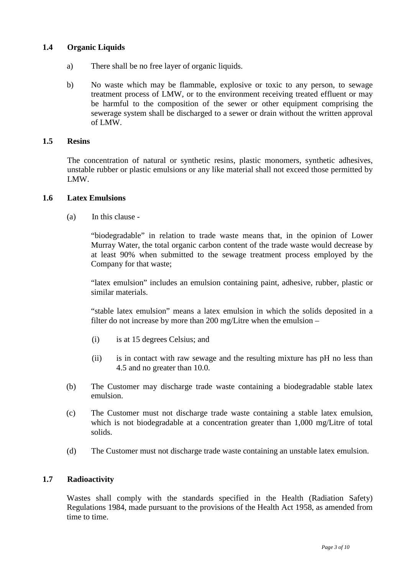## **1.4 Organic Liquids**

- a) There shall be no free layer of organic liquids.
- b) No waste which may be flammable, explosive or toxic to any person, to sewage treatment process of LMW, or to the environment receiving treated effluent or may be harmful to the composition of the sewer or other equipment comprising the sewerage system shall be discharged to a sewer or drain without the written approval of LMW.

#### **1.5 Resins**

The concentration of natural or synthetic resins, plastic monomers, synthetic adhesives, unstable rubber or plastic emulsions or any like material shall not exceed those permitted by LMW.

#### **1.6 Latex Emulsions**

(a) In this clause -

"biodegradable" in relation to trade waste means that, in the opinion of Lower Murray Water, the total organic carbon content of the trade waste would decrease by at least 90% when submitted to the sewage treatment process employed by the Company for that waste;

"latex emulsion" includes an emulsion containing paint, adhesive, rubber, plastic or similar materials.

"stable latex emulsion" means a latex emulsion in which the solids deposited in a filter do not increase by more than 200 mg/Litre when the emulsion –

- (i) is at 15 degrees Celsius; and
- (ii) is in contact with raw sewage and the resulting mixture has pH no less than 4.5 and no greater than 10.0.
- (b) The Customer may discharge trade waste containing a biodegradable stable latex emulsion.
- (c) The Customer must not discharge trade waste containing a stable latex emulsion, which is not biodegradable at a concentration greater than 1,000 mg/Litre of total solids.
- (d) The Customer must not discharge trade waste containing an unstable latex emulsion.

### **1.7 Radioactivity**

Wastes shall comply with the standards specified in the Health (Radiation Safety) Regulations 1984, made pursuant to the provisions of the Health Act 1958, as amended from time to time.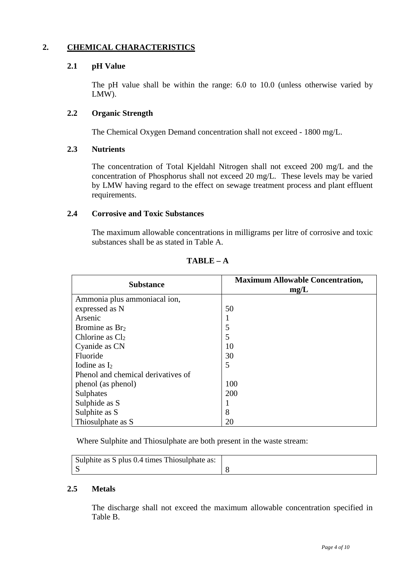# **2. CHEMICAL CHARACTERISTICS**

### **2.1 pH Value**

The pH value shall be within the range: 6.0 to 10.0 (unless otherwise varied by LMW).

#### **2.2 Organic Strength**

The Chemical Oxygen Demand concentration shall not exceed - 1800 mg/L.

### **2.3 Nutrients**

The concentration of Total Kjeldahl Nitrogen shall not exceed 200 mg/L and the concentration of Phosphorus shall not exceed 20 mg/L. These levels may be varied by LMW having regard to the effect on sewage treatment process and plant effluent requirements.

#### **2.4 Corrosive and Toxic Substances**

The maximum allowable concentrations in milligrams per litre of corrosive and toxic substances shall be as stated in Table A.

| <b>Substance</b>                   | <b>Maximum Allowable Concentration,</b><br>mg/L |
|------------------------------------|-------------------------------------------------|
| Ammonia plus ammoniacal ion,       |                                                 |
| expressed as N                     | 50                                              |
| Arsenic                            |                                                 |
| Bromine as Br <sub>2</sub>         | 5                                               |
| Chlorine as $Cl2$                  | 5                                               |
| Cyanide as CN                      | 10                                              |
| Fluoride                           | 30                                              |
| Iodine as $I_2$                    | 5                                               |
| Phenol and chemical derivatives of |                                                 |
| phenol (as phenol)                 | 100                                             |
| Sulphates                          | 200                                             |
| Sulphide as S                      |                                                 |
| Sulphite as S                      | 8                                               |
| Thiosulphate as S                  | 20                                              |

 $TABLE - A$ 

Where Sulphite and Thiosulphate are both present in the waste stream:

| Sulphite as S plus 0.4 times Thiosulphate as: |  |
|-----------------------------------------------|--|
|                                               |  |

### **2.5 Metals**

The discharge shall not exceed the maximum allowable concentration specified in Table B.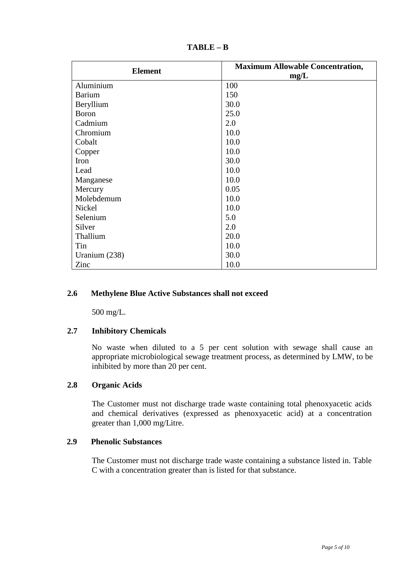| <b>Element</b> | <b>Maximum Allowable Concentration,</b><br>mg/L |
|----------------|-------------------------------------------------|
| Aluminium      | 100                                             |
| <b>Barium</b>  | 150                                             |
| Beryllium      | 30.0                                            |
| <b>Boron</b>   | 25.0                                            |
| Cadmium        | 2.0                                             |
| Chromium       | 10.0                                            |
| Cobalt         | 10.0                                            |
| Copper         | 10.0                                            |
| Iron           | 30.0                                            |
| Lead           | 10.0                                            |
| Manganese      | 10.0                                            |
| Mercury        | 0.05                                            |
| Molebdemum     | 10.0                                            |
| Nickel         | 10.0                                            |
| Selenium       | 5.0                                             |
| Silver         | 2.0                                             |
| Thallium       | 20.0                                            |
| Tin            | 10.0                                            |
| Uranium (238)  | 30.0                                            |
| Zinc           | 10.0                                            |

**TABLE – B**

## **2.6 Methylene Blue Active Substances shall not exceed**

500 mg/L.

### **2.7 Inhibitory Chemicals**

No waste when diluted to a 5 per cent solution with sewage shall cause an appropriate microbiological sewage treatment process, as determined by LMW, to be inhibited by more than 20 per cent.

### **2.8 Organic Acids**

The Customer must not discharge trade waste containing total phenoxyacetic acids and chemical derivatives (expressed as phenoxyacetic acid) at a concentration greater than 1,000 mg/Litre.

## **2.9 Phenolic Substances**

The Customer must not discharge trade waste containing a substance listed in. Table C with a concentration greater than is listed for that substance.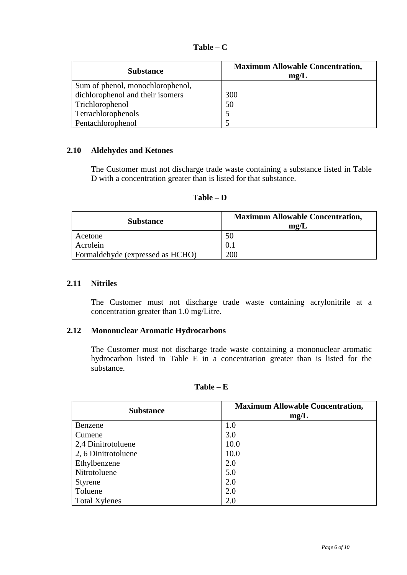| <b>Substance</b>                 | <b>Maximum Allowable Concentration,</b><br>mg/L |
|----------------------------------|-------------------------------------------------|
| Sum of phenol, monochlorophenol, |                                                 |
| dichlorophenol and their isomers | 300                                             |
| Trichlorophenol                  | 50                                              |
| Tetrachlorophenols               |                                                 |
| Pentachlorophenol                |                                                 |

### **2.10 Aldehydes and Ketones**

The Customer must not discharge trade waste containing a substance listed in Table D with a concentration greater than is listed for that substance.

| anı |  |
|-----|--|
|-----|--|

| <b>Substance</b>                 | <b>Maximum Allowable Concentration,</b><br>mg/L |
|----------------------------------|-------------------------------------------------|
| Acetone                          | 50                                              |
| Acrolein                         | 0.1                                             |
| Formaldehyde (expressed as HCHO) | 200                                             |

## **2.11 Nitriles**

The Customer must not discharge trade waste containing acrylonitrile at a concentration greater than 1.0 mg/Litre.

#### **2.12 Mononuclear Aromatic Hydrocarbons**

The Customer must not discharge trade waste containing a mononuclear aromatic hydrocarbon listed in Table E in a concentration greater than is listed for the substance.

| 'able |  |
|-------|--|
|-------|--|

| <b>Substance</b>     | <b>Maximum Allowable Concentration,</b><br>mg/L |
|----------------------|-------------------------------------------------|
| Benzene              | 1.0                                             |
| Cumene               | 3.0                                             |
| 2,4 Dinitrotoluene   | 10.0                                            |
| 2, 6 Dinitrotoluene  | 10.0                                            |
| Ethylbenzene         | 2.0                                             |
| Nitrotoluene         | 5.0                                             |
| Styrene              | 2.0                                             |
| Toluene              | 2.0                                             |
| <b>Total Xylenes</b> | 2.0                                             |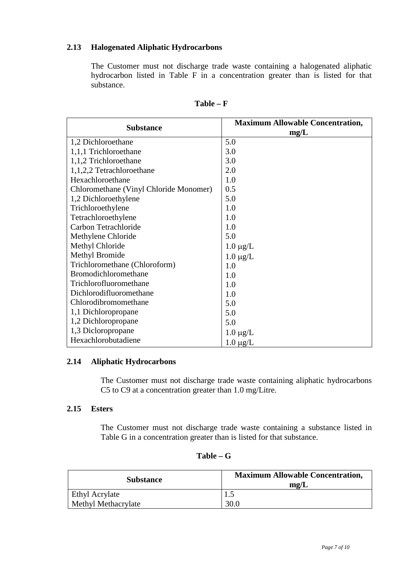## **2.13 Halogenated Aliphatic Hydrocarbons**

The Customer must not discharge trade waste containing a halogenated aliphatic hydrocarbon listed in Table F in a concentration greater than is listed for that substance.

| <b>Substance</b>                       | <b>Maximum Allowable Concentration,</b><br>mg/L |
|----------------------------------------|-------------------------------------------------|
| 1,2 Dichloroethane                     | 5.0                                             |
| 1,1,1 Trichloroethane                  | 3.0                                             |
| 1,1,2 Trichloroethane                  | 3.0                                             |
| 1,1,2,2 Tetrachloroethane              | 2.0                                             |
| Hexachloroethane                       | 1.0                                             |
| Chloromethane (Vinyl Chloride Monomer) | 0.5                                             |
| 1,2 Dichloroethylene                   | 5.0                                             |
| Trichloroethylene                      | 1.0                                             |
| Tetrachloroethylene                    | 1.0                                             |
| Carbon Tetrachloride                   | 1.0                                             |
| Methylene Chloride                     | 5.0                                             |
| Methyl Chloride                        | $1.0 \mu g/L$                                   |
| Methyl Bromide                         | $1.0 \mu g/L$                                   |
| Trichloromethane (Chloroform)          | 1.0                                             |
| Bromodichloromethane                   | 1.0                                             |
| Trichlorofluoromethane                 | 1.0                                             |
| Dichlorodifluoromethane                | 1.0                                             |
| Chlorodibromomethane                   | 5.0                                             |
| 1,1 Dichloropropane                    | 5.0                                             |
| 1,2 Dichloropropane                    | 5.0                                             |
| 1,3 Dicloropropane                     | $1.0 \mu g/L$                                   |
| Hexachlorobutadiene                    | $1.0 \ \mu g/L$                                 |

| 'able<br>e |  |
|------------|--|
|------------|--|

### **2.14 Aliphatic Hydrocarbons**

The Customer must not discharge trade waste containing aliphatic hydrocarbons C5 to C9 at a concentration greater than 1.0 mg/Litre.

# **2.15 Esters**

The Customer must not discharge trade waste containing a substance listed in Table G in a concentration greater than is listed for that substance.

| Table |  |
|-------|--|
|-------|--|

| <b>Substance</b>    | <b>Maximum Allowable Concentration,</b><br>mg/L |
|---------------------|-------------------------------------------------|
| Ethyl Acrylate      |                                                 |
| Methyl Methacrylate | 30.0                                            |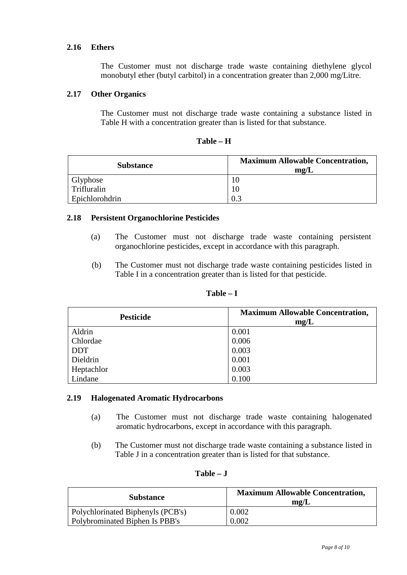## **2.16 Ethers**

The Customer must not discharge trade waste containing diethylene glycol monobutyl ether (butyl carbitol) in a concentration greater than 2,000 mg/Litre.

## **2.17 Other Organics**

The Customer must not discharge trade waste containing a substance listed in Table H with a concentration greater than is listed for that substance.

| apie |  |
|------|--|
|------|--|

| <b>Substance</b> | <b>Maximum Allowable Concentration,</b><br>mg/L |
|------------------|-------------------------------------------------|
| Glyphose         | 10                                              |
| Trifluralin      | 10                                              |
| Epichlorohdrin   | 0.3                                             |

### **2.18 Persistent Organochlorine Pesticides**

- (a) The Customer must not discharge trade waste containing persistent organochlorine pesticides, except in accordance with this paragraph.
- (b) The Customer must not discharge trade waste containing pesticides listed in Table I in a concentration greater than is listed for that pesticide.

| <b>Pesticide</b> | <b>Maximum Allowable Concentration,</b><br>mg/L |
|------------------|-------------------------------------------------|
| Aldrin           | 0.001                                           |
| Chlordae         | 0.006                                           |
| <b>DDT</b>       | 0.003                                           |
| Dieldrin         | 0.001                                           |
| Heptachlor       | 0.003                                           |
| Lindane          | 0.100                                           |

**Table – I**

### **2.19 Halogenated Aromatic Hydrocarbons**

- (a) The Customer must not discharge trade waste containing halogenated aromatic hydrocarbons, except in accordance with this paragraph.
- (b) The Customer must not discharge trade waste containing a substance listed in Table J in a concentration greater than is listed for that substance.

| anı |  |
|-----|--|
|-----|--|

| <b>Substance</b>                  | <b>Maximum Allowable Concentration,</b><br>mg/L |
|-----------------------------------|-------------------------------------------------|
| Polychlorinated Biphenyls (PCB's) | 0.002                                           |
| Polybrominated Biphen Is PBB's    | 0.002                                           |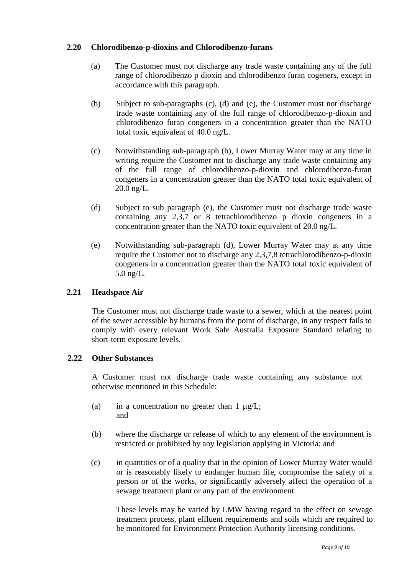### **2.20 Chlorodibenzo-p-dioxins and Chlorodibenzo-furans**

- (a) The Customer must not discharge any trade waste containing any of the full range of chlorodibenzo p dioxin and chlorodibenzo furan cogeners, except in accordance with this paragraph.
- (b) Subject to sub-paragraphs (c), (d) and (e), the Customer must not discharge trade waste containing any of the full range of chlorodibenzo-p-dioxin and chlorodibenzo furan congeners in a concentration greater than the NATO total toxic equivalent of 40.0 ng/L.
- (c) Notwithstanding sub-paragraph (b), Lower Murray Water may at any time in writing require the Customer not to discharge any trade waste containing any of the full range of chlorodibenzo-p-dioxin and chlorodibenzo-furan congeners in a concentration greater than the NATO total toxic equivalent of 20.0 ng/L.
- (d) Subject to sub paragraph (e), the Customer must not discharge trade waste containing any 2,3,7 or 8 tetrachlorodibenzo p dioxin congeners in a concentration greater than the NATO toxic equivalent of 20.0 ng/L.
- (e) Notwithstanding sub-paragraph (d), Lower Murray Water may at any time require the Customer not to discharge any 2,3,7,8 tetrachlorodibenzo-p-dioxin congeners in a concentration greater than the NATO total toxic equivalent of 5.0 ng/L.

## **2.21 Headspace Air**

The Customer must not discharge trade waste to a sewer, which at the nearest point of the sewer accessible by humans from the point of discharge, in any respect fails to comply with every relevant Work Safe Australia Exposure Standard relating to short-term exposure levels.

### **2.22 Other Substances**

A Customer must not discharge trade waste containing any substance not otherwise mentioned in this Schedule:

- (a) in a concentration no greater than  $1 \mu g/L$ ; and
- (b) where the discharge or release of which to any element of the environment is restricted or prohibited by any legislation applying in Victoria; and
- (c) in quantities or of a quality that in the opinion of Lower Murray Water would or is reasonably likely to endanger human life, compromise the safety of a person or of the works, or significantly adversely affect the operation of a sewage treatment plant or any part of the environment.

These levels may be varied by LMW having regard to the effect on sewage treatment process, plant effluent requirements and soils which are required to be monitored for Environment Protection Authority licensing conditions.